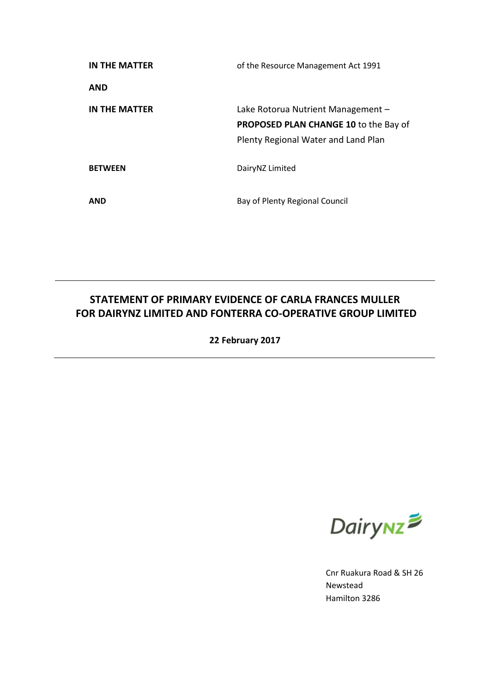| IN THE MATTER  | of the Resource Management Act 1991                                                                                       |
|----------------|---------------------------------------------------------------------------------------------------------------------------|
| <b>AND</b>     |                                                                                                                           |
| IN THE MATTER  | Lake Rotorua Nutrient Management –<br><b>PROPOSED PLAN CHANGE 10 to the Bay of</b><br>Plenty Regional Water and Land Plan |
| <b>BETWEEN</b> | DairyNZ Limited                                                                                                           |
| <b>AND</b>     | Bay of Plenty Regional Council                                                                                            |

# **STATEMENT OF PRIMARY EVIDENCE OF CARLA FRANCES MULLER FOR DAIRYNZ LIMITED AND FONTERRA CO-OPERATIVE GROUP LIMITED**

**22 February 2017**



Cnr Ruakura Road & SH 26 Newstead Hamilton 3286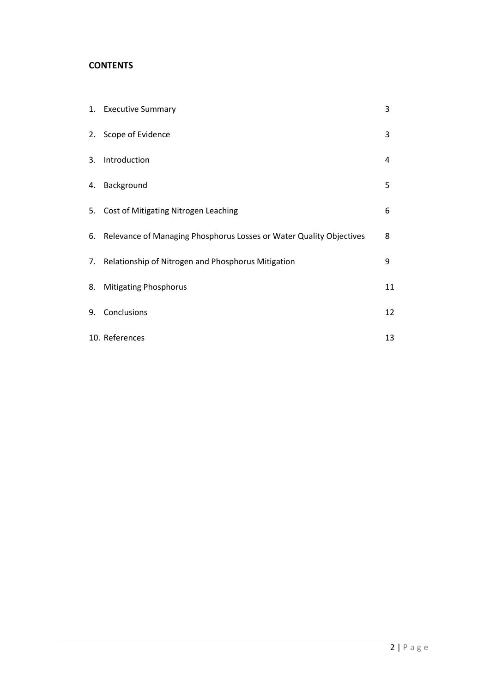#### **CONTENTS**

|    | 1. Executive Summary                                                   | 3  |
|----|------------------------------------------------------------------------|----|
|    | 2. Scope of Evidence                                                   | 3  |
|    | 3. Introduction                                                        | 4  |
|    | 4. Background                                                          | 5  |
|    | 5. Cost of Mitigating Nitrogen Leaching                                | 6  |
|    | 6. Relevance of Managing Phosphorus Losses or Water Quality Objectives | 8  |
|    | 7. Relationship of Nitrogen and Phosphorus Mitigation                  | 9  |
| 8. | <b>Mitigating Phosphorus</b>                                           | 11 |
| 9. | Conclusions                                                            | 12 |
|    | 10. References                                                         | 13 |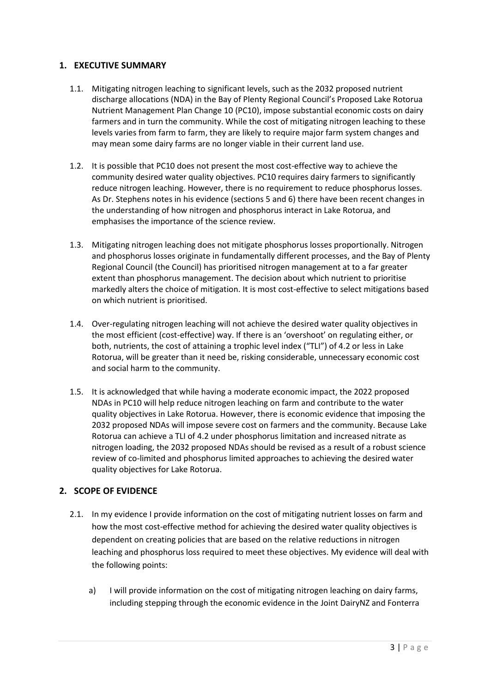### **1. EXECUTIVE SUMMARY**

- 1.1. Mitigating nitrogen leaching to significant levels, such as the 2032 proposed nutrient discharge allocations (NDA) in the Bay of Plenty Regional Council's Proposed Lake Rotorua Nutrient Management Plan Change 10 (PC10), impose substantial economic costs on dairy farmers and in turn the community. While the cost of mitigating nitrogen leaching to these levels varies from farm to farm, they are likely to require major farm system changes and may mean some dairy farms are no longer viable in their current land use.
- 1.2. It is possible that PC10 does not present the most cost-effective way to achieve the community desired water quality objectives. PC10 requires dairy farmers to significantly reduce nitrogen leaching. However, there is no requirement to reduce phosphorus losses. As Dr. Stephens notes in his evidence (sections 5 and 6) there have been recent changes in the understanding of how nitrogen and phosphorus interact in Lake Rotorua, and emphasises the importance of the science review.
- 1.3. Mitigating nitrogen leaching does not mitigate phosphorus losses proportionally. Nitrogen and phosphorus losses originate in fundamentally different processes, and the Bay of Plenty Regional Council (the Council) has prioritised nitrogen management at to a far greater extent than phosphorus management. The decision about which nutrient to prioritise markedly alters the choice of mitigation. It is most cost-effective to select mitigations based on which nutrient is prioritised.
- 1.4. Over-regulating nitrogen leaching will not achieve the desired water quality objectives in the most efficient (cost-effective) way. If there is an 'overshoot' on regulating either, or both, nutrients, the cost of attaining a trophic level index ("TLI") of 4.2 or less in Lake Rotorua, will be greater than it need be, risking considerable, unnecessary economic cost and social harm to the community.
- 1.5. It is acknowledged that while having a moderate economic impact, the 2022 proposed NDAs in PC10 will help reduce nitrogen leaching on farm and contribute to the water quality objectives in Lake Rotorua. However, there is economic evidence that imposing the 2032 proposed NDAs will impose severe cost on farmers and the community. Because Lake Rotorua can achieve a TLI of 4.2 under phosphorus limitation and increased nitrate as nitrogen loading, the 2032 proposed NDAs should be revised as a result of a robust science review of co-limited and phosphorus limited approaches to achieving the desired water quality objectives for Lake Rotorua.

# **2. SCOPE OF EVIDENCE**

- 2.1. In my evidence I provide information on the cost of mitigating nutrient losses on farm and how the most cost-effective method for achieving the desired water quality objectives is dependent on creating policies that are based on the relative reductions in nitrogen leaching and phosphorus loss required to meet these objectives. My evidence will deal with the following points:
	- a) I will provide information on the cost of mitigating nitrogen leaching on dairy farms, including stepping through the economic evidence in the Joint DairyNZ and Fonterra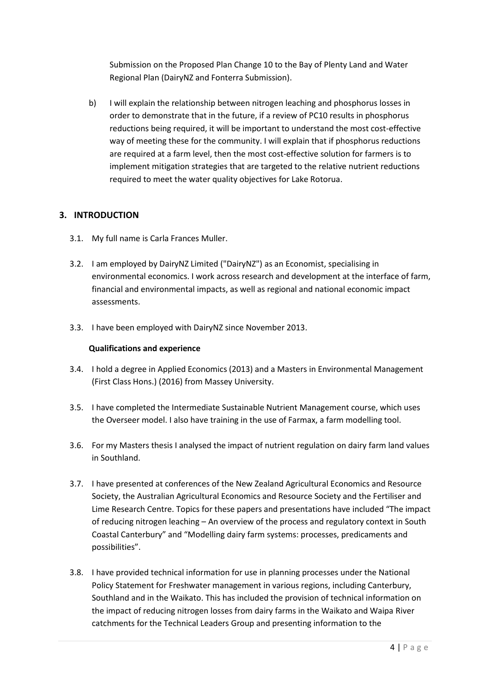Submission on the Proposed Plan Change 10 to the Bay of Plenty Land and Water Regional Plan (DairyNZ and Fonterra Submission).

b) I will explain the relationship between nitrogen leaching and phosphorus losses in order to demonstrate that in the future, if a review of PC10 results in phosphorus reductions being required, it will be important to understand the most cost-effective way of meeting these for the community. I will explain that if phosphorus reductions are required at a farm level, then the most cost-effective solution for farmers is to implement mitigation strategies that are targeted to the relative nutrient reductions required to meet the water quality objectives for Lake Rotorua.

# **3. INTRODUCTION**

- 3.1. My full name is Carla Frances Muller.
- 3.2. I am employed by DairyNZ Limited ("DairyNZ") as an Economist, specialising in environmental economics. I work across research and development at the interface of farm, financial and environmental impacts, as well as regional and national economic impact assessments.
- 3.3. I have been employed with DairyNZ since November 2013.

#### **Qualifications and experience**

- 3.4. I hold a degree in Applied Economics (2013) and a Masters in Environmental Management (First Class Hons.) (2016) from Massey University.
- 3.5. I have completed the Intermediate Sustainable Nutrient Management course, which uses the Overseer model. I also have training in the use of Farmax, a farm modelling tool.
- 3.6. For my Masters thesis I analysed the impact of nutrient regulation on dairy farm land values in Southland.
- 3.7. I have presented at conferences of the New Zealand Agricultural Economics and Resource Society, the Australian Agricultural Economics and Resource Society and the Fertiliser and Lime Research Centre. Topics for these papers and presentations have included "The impact of reducing nitrogen leaching – An overview of the process and regulatory context in South Coastal Canterbury" and "Modelling dairy farm systems: processes, predicaments and possibilities".
- 3.8. I have provided technical information for use in planning processes under the National Policy Statement for Freshwater management in various regions, including Canterbury, Southland and in the Waikato. This has included the provision of technical information on the impact of reducing nitrogen losses from dairy farms in the Waikato and Waipa River catchments for the Technical Leaders Group and presenting information to the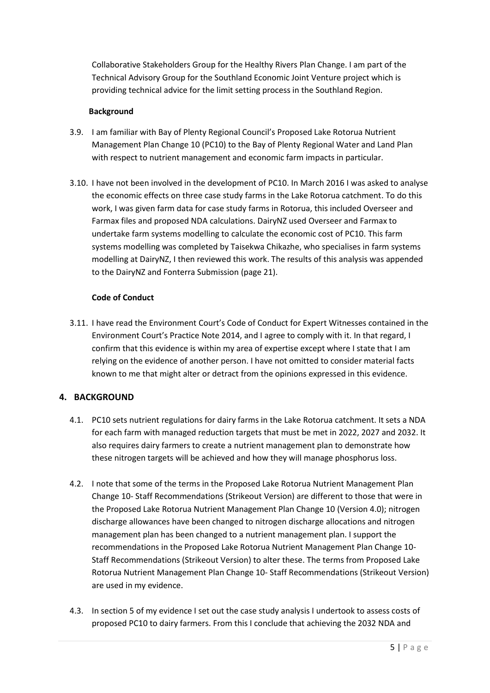Collaborative Stakeholders Group for the Healthy Rivers Plan Change. I am part of the Technical Advisory Group for the Southland Economic Joint Venture project which is providing technical advice for the limit setting process in the Southland Region.

#### **Background**

- 3.9. I am familiar with Bay of Plenty Regional Council's Proposed Lake Rotorua Nutrient Management Plan Change 10 (PC10) to the Bay of Plenty Regional Water and Land Plan with respect to nutrient management and economic farm impacts in particular.
- 3.10. I have not been involved in the development of PC10. In March 2016 I was asked to analyse the economic effects on three case study farms in the Lake Rotorua catchment. To do this work, I was given farm data for case study farms in Rotorua, this included Overseer and Farmax files and proposed NDA calculations. DairyNZ used Overseer and Farmax to undertake farm systems modelling to calculate the economic cost of PC10. This farm systems modelling was completed by Taisekwa Chikazhe, who specialises in farm systems modelling at DairyNZ, I then reviewed this work. The results of this analysis was appended to the DairyNZ and Fonterra Submission (page 21).

#### **Code of Conduct**

3.11. I have read the Environment Court's Code of Conduct for Expert Witnesses contained in the Environment Court's Practice Note 2014, and I agree to comply with it. In that regard, I confirm that this evidence is within my area of expertise except where I state that I am relying on the evidence of another person. I have not omitted to consider material facts known to me that might alter or detract from the opinions expressed in this evidence.

# **4. BACKGROUND**

- 4.1. PC10 sets nutrient regulations for dairy farms in the Lake Rotorua catchment. It sets a NDA for each farm with managed reduction targets that must be met in 2022, 2027 and 2032. It also requires dairy farmers to create a nutrient management plan to demonstrate how these nitrogen targets will be achieved and how they will manage phosphorus loss.
- 4.2. I note that some of the terms in the Proposed Lake Rotorua Nutrient Management Plan Change 10- Staff Recommendations (Strikeout Version) are different to those that were in the Proposed Lake Rotorua Nutrient Management Plan Change 10 (Version 4.0); nitrogen discharge allowances have been changed to nitrogen discharge allocations and nitrogen management plan has been changed to a nutrient management plan. I support the recommendations in the Proposed Lake Rotorua Nutrient Management Plan Change 10- Staff Recommendations (Strikeout Version) to alter these. The terms from Proposed Lake Rotorua Nutrient Management Plan Change 10- Staff Recommendations (Strikeout Version) are used in my evidence.
- 4.3. In section 5 of my evidence I set out the case study analysis I undertook to assess costs of proposed PC10 to dairy farmers. From this I conclude that achieving the 2032 NDA and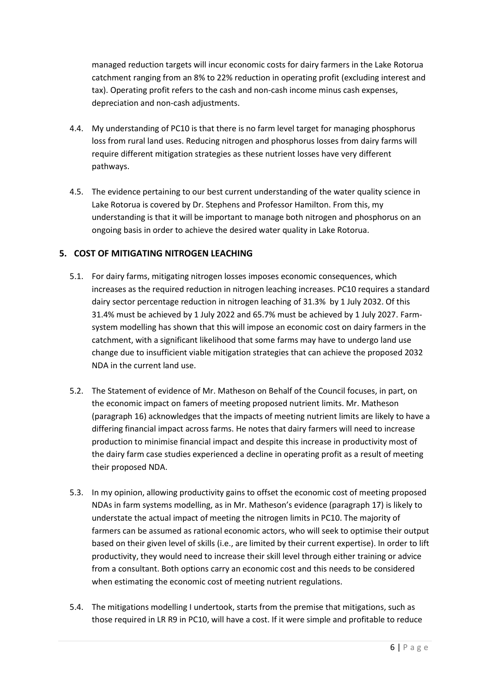managed reduction targets will incur economic costs for dairy farmers in the Lake Rotorua catchment ranging from an 8% to 22% reduction in operating profit (excluding interest and tax). Operating profit refers to the cash and non-cash income minus cash expenses, depreciation and non-cash adjustments.

- 4.4. My understanding of PC10 is that there is no farm level target for managing phosphorus loss from rural land uses. Reducing nitrogen and phosphorus losses from dairy farms will require different mitigation strategies as these nutrient losses have very different pathways.
- 4.5. The evidence pertaining to our best current understanding of the water quality science in Lake Rotorua is covered by Dr. Stephens and Professor Hamilton. From this, my understanding is that it will be important to manage both nitrogen and phosphorus on an ongoing basis in order to achieve the desired water quality in Lake Rotorua.

# **5. COST OF MITIGATING NITROGEN LEACHING**

- 5.1. For dairy farms, mitigating nitrogen losses imposes economic consequences, which increases as the required reduction in nitrogen leaching increases. PC10 requires a standard dairy sector percentage reduction in nitrogen leaching of 31.3% by 1 July 2032. Of this 31.4% must be achieved by 1 July 2022 and 65.7% must be achieved by 1 July 2027. Farmsystem modelling has shown that this will impose an economic cost on dairy farmers in the catchment, with a significant likelihood that some farms may have to undergo land use change due to insufficient viable mitigation strategies that can achieve the proposed 2032 NDA in the current land use.
- 5.2. The Statement of evidence of Mr. Matheson on Behalf of the Council focuses, in part, on the economic impact on famers of meeting proposed nutrient limits. Mr. Matheson (paragraph 16) acknowledges that the impacts of meeting nutrient limits are likely to have a differing financial impact across farms. He notes that dairy farmers will need to increase production to minimise financial impact and despite this increase in productivity most of the dairy farm case studies experienced a decline in operating profit as a result of meeting their proposed NDA.
- 5.3. In my opinion, allowing productivity gains to offset the economic cost of meeting proposed NDAs in farm systems modelling, as in Mr. Matheson's evidence (paragraph 17) is likely to understate the actual impact of meeting the nitrogen limits in PC10. The majority of farmers can be assumed as rational economic actors, who will seek to optimise their output based on their given level of skills (i.e., are limited by their current expertise). In order to lift productivity, they would need to increase their skill level through either training or advice from a consultant. Both options carry an economic cost and this needs to be considered when estimating the economic cost of meeting nutrient regulations.
- 5.4. The mitigations modelling I undertook, starts from the premise that mitigations, such as those required in LR R9 in PC10, will have a cost. If it were simple and profitable to reduce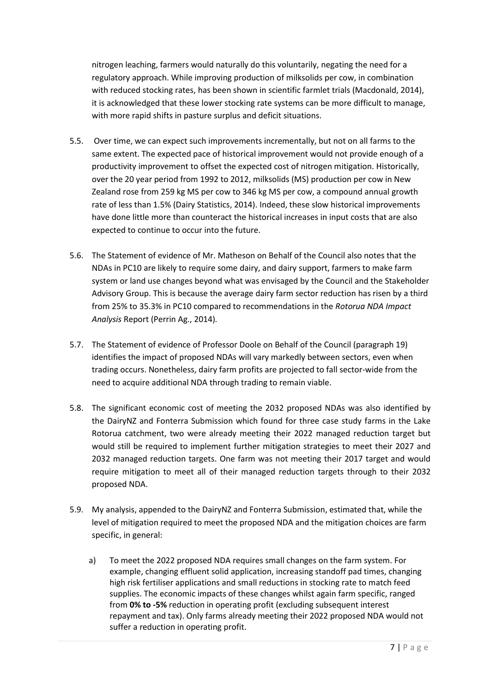nitrogen leaching, farmers would naturally do this voluntarily, negating the need for a regulatory approach. While improving production of milksolids per cow, in combination with reduced stocking rates, has been shown in scientific farmlet trials (Macdonald, 2014), it is acknowledged that these lower stocking rate systems can be more difficult to manage, with more rapid shifts in pasture surplus and deficit situations.

- 5.5. Over time, we can expect such improvements incrementally, but not on all farms to the same extent. The expected pace of historical improvement would not provide enough of a productivity improvement to offset the expected cost of nitrogen mitigation. Historically, over the 20 year period from 1992 to 2012, milksolids (MS) production per cow in New Zealand rose from 259 kg MS per cow to 346 kg MS per cow, a compound annual growth rate of less than 1.5% (Dairy Statistics, 2014). Indeed, these slow historical improvements have done little more than counteract the historical increases in input costs that are also expected to continue to occur into the future.
- 5.6. The Statement of evidence of Mr. Matheson on Behalf of the Council also notes that the NDAs in PC10 are likely to require some dairy, and dairy support, farmers to make farm system or land use changes beyond what was envisaged by the Council and the Stakeholder Advisory Group. This is because the average dairy farm sector reduction has risen by a third from 25% to 35.3% in PC10 compared to recommendations in the *Rotorua NDA Impact Analysis* Report (Perrin Ag., 2014)*.*
- 5.7. The Statement of evidence of Professor Doole on Behalf of the Council (paragraph 19) identifies the impact of proposed NDAs will vary markedly between sectors, even when trading occurs. Nonetheless, dairy farm profits are projected to fall sector-wide from the need to acquire additional NDA through trading to remain viable.
- 5.8. The significant economic cost of meeting the 2032 proposed NDAs was also identified by the DairyNZ and Fonterra Submission which found for three case study farms in the Lake Rotorua catchment, two were already meeting their 2022 managed reduction target but would still be required to implement further mitigation strategies to meet their 2027 and 2032 managed reduction targets. One farm was not meeting their 2017 target and would require mitigation to meet all of their managed reduction targets through to their 2032 proposed NDA.
- 5.9. My analysis, appended to the DairyNZ and Fonterra Submission, estimated that, while the level of mitigation required to meet the proposed NDA and the mitigation choices are farm specific, in general:
	- a) To meet the 2022 proposed NDA requires small changes on the farm system. For example, changing effluent solid application, increasing standoff pad times, changing high risk fertiliser applications and small reductions in stocking rate to match feed supplies. The economic impacts of these changes whilst again farm specific, ranged from **0% to -5%** reduction in operating profit (excluding subsequent interest repayment and tax). Only farms already meeting their 2022 proposed NDA would not suffer a reduction in operating profit.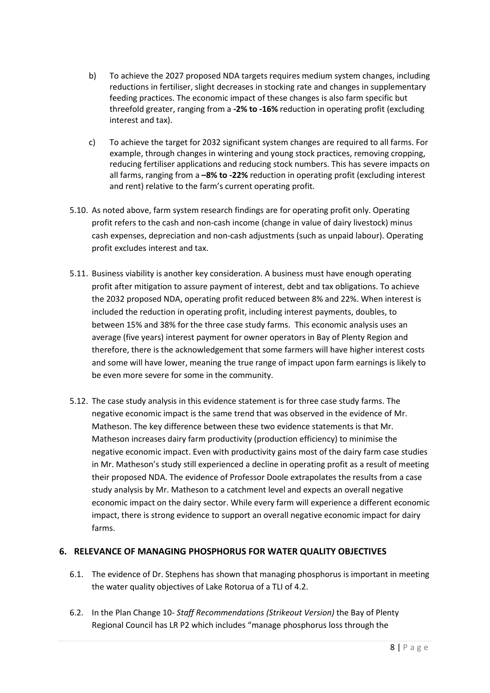- b) To achieve the 2027 proposed NDA targets requires medium system changes, including reductions in fertiliser, slight decreases in stocking rate and changes in supplementary feeding practices. The economic impact of these changes is also farm specific but threefold greater, ranging from a **-2% to -16%** reduction in operating profit (excluding interest and tax).
- c) To achieve the target for 2032 significant system changes are required to all farms. For example, through changes in wintering and young stock practices, removing cropping, reducing fertiliser applications and reducing stock numbers. This has severe impacts on all farms, ranging from a **–8% to -22%** reduction in operating profit (excluding interest and rent) relative to the farm's current operating profit.
- 5.10. As noted above, farm system research findings are for operating profit only. Operating profit refers to the cash and non-cash income (change in value of dairy livestock) minus cash expenses, depreciation and non-cash adjustments (such as unpaid labour). Operating profit excludes interest and tax.
- 5.11. Business viability is another key consideration. A business must have enough operating profit after mitigation to assure payment of interest, debt and tax obligations. To achieve the 2032 proposed NDA, operating profit reduced between 8% and 22%. When interest is included the reduction in operating profit, including interest payments, doubles, to between 15% and 38% for the three case study farms. This economic analysis uses an average (five years) interest payment for owner operators in Bay of Plenty Region and therefore, there is the acknowledgement that some farmers will have higher interest costs and some will have lower, meaning the true range of impact upon farm earnings is likely to be even more severe for some in the community.
- 5.12. The case study analysis in this evidence statement is for three case study farms. The negative economic impact is the same trend that was observed in the evidence of Mr. Matheson. The key difference between these two evidence statements is that Mr. Matheson increases dairy farm productivity (production efficiency) to minimise the negative economic impact. Even with productivity gains most of the dairy farm case studies in Mr. Matheson's study still experienced a decline in operating profit as a result of meeting their proposed NDA. The evidence of Professor Doole extrapolates the results from a case study analysis by Mr. Matheson to a catchment level and expects an overall negative economic impact on the dairy sector. While every farm will experience a different economic impact, there is strong evidence to support an overall negative economic impact for dairy farms.

# **6. RELEVANCE OF MANAGING PHOSPHORUS FOR WATER QUALITY OBJECTIVES**

- 6.1. The evidence of Dr. Stephens has shown that managing phosphorus is important in meeting the water quality objectives of Lake Rotorua of a TLI of 4.2.
- 6.2. In the Plan Change 10*- Staff Recommendations (Strikeout Version)* the Bay of Plenty Regional Council has LR P2 which includes "manage phosphorus loss through the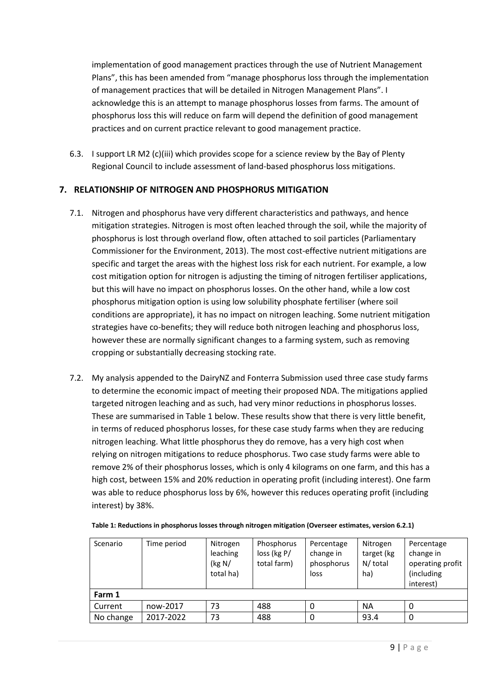implementation of good management practices through the use of Nutrient Management Plans", this has been amended from "manage phosphorus loss through the implementation of management practices that will be detailed in Nitrogen Management Plans". I acknowledge this is an attempt to manage phosphorus losses from farms. The amount of phosphorus loss this will reduce on farm will depend the definition of good management practices and on current practice relevant to good management practice.

6.3. I support LR M2 (c)(iii) which provides scope for a science review by the Bay of Plenty Regional Council to include assessment of land-based phosphorus loss mitigations.

#### **7. RELATIONSHIP OF NITROGEN AND PHOSPHORUS MITIGATION**

- 7.1. Nitrogen and phosphorus have very different characteristics and pathways, and hence mitigation strategies. Nitrogen is most often leached through the soil, while the majority of phosphorus is lost through overland flow, often attached to soil particles (Parliamentary Commissioner for the Environment, 2013). The most cost-effective nutrient mitigations are specific and target the areas with the highest loss risk for each nutrient. For example, a low cost mitigation option for nitrogen is adjusting the timing of nitrogen fertiliser applications, but this will have no impact on phosphorus losses. On the other hand, while a low cost phosphorus mitigation option is using low solubility phosphate fertiliser (where soil conditions are appropriate), it has no impact on nitrogen leaching. Some nutrient mitigation strategies have co-benefits; they will reduce both nitrogen leaching and phosphorus loss, however these are normally significant changes to a farming system, such as removing cropping or substantially decreasing stocking rate.
- 7.2. My analysis appended to the DairyNZ and Fonterra Submission used three case study farms to determine the economic impact of meeting their proposed NDA. The mitigations applied targeted nitrogen leaching and as such, had very minor reductions in phosphorus losses. These are summarised in Table 1 below. These results show that there is very little benefit, in terms of reduced phosphorus losses, for these case study farms when they are reducing nitrogen leaching. What little phosphorus they do remove, has a very high cost when relying on nitrogen mitigations to reduce phosphorus. Two case study farms were able to remove 2% of their phosphorus losses, which is only 4 kilograms on one farm, and this has a high cost, between 15% and 20% reduction in operating profit (including interest). One farm was able to reduce phosphorus loss by 6%, however this reduces operating profit (including interest) by 38%.

| Scenario  | Time period | Nitrogen<br>leaching<br>( $kg N/$<br>total ha) | Phosphorus<br>loss (kg P/<br>total farm) | Percentage<br>change in<br>phosphorus<br>loss | Nitrogen<br>target (kg<br>N/ total<br>ha) | Percentage<br>change in<br>operating profit<br>(including<br>interest) |  |
|-----------|-------------|------------------------------------------------|------------------------------------------|-----------------------------------------------|-------------------------------------------|------------------------------------------------------------------------|--|
| Farm 1    |             |                                                |                                          |                                               |                                           |                                                                        |  |
| Current   | now-2017    | 73                                             | 488                                      | 0                                             | NA                                        | 0                                                                      |  |
| No change | 2017-2022   | 73                                             | 488                                      | 0                                             | 93.4                                      | 0                                                                      |  |

**Table 1: Reductions in phosphorus losses through nitrogen mitigation (Overseer estimates, version 6.2.1)**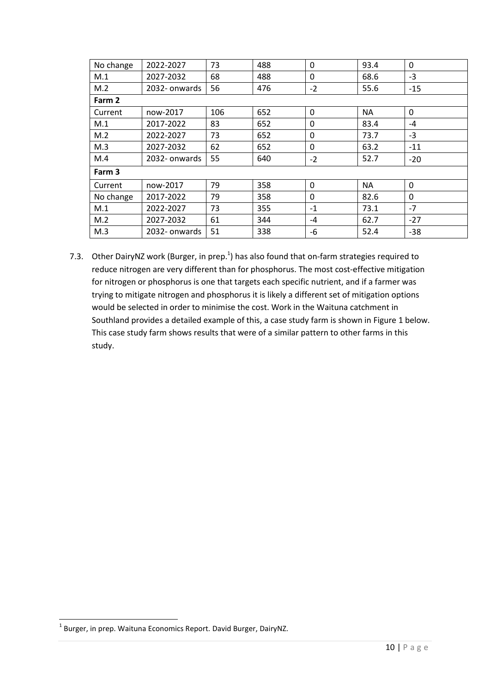| No change | 2022-2027     | 73  | 488 | $\Omega$    | 93.4      | $\mathbf{0}$ |  |  |
|-----------|---------------|-----|-----|-------------|-----------|--------------|--|--|
| M.1       | 2027-2032     | 68  | 488 | $\mathbf 0$ | 68.6      | $-3$         |  |  |
| M.2       | 2032- onwards | 56  | 476 | $-2$        | 55.6      | $-15$        |  |  |
| Farm 2    |               |     |     |             |           |              |  |  |
| Current   | now-2017      | 106 | 652 | 0           | <b>NA</b> | $\mathbf{0}$ |  |  |
| M.1       | 2017-2022     | 83  | 652 | 0           | 83.4      | $-4$         |  |  |
| M.2       | 2022-2027     | 73  | 652 | 0           | 73.7      | $-3$         |  |  |
| M.3       | 2027-2032     | 62  | 652 | 0           | 63.2      | $-11$        |  |  |
| M.4       | 2032- onwards | 55  | 640 | $-2$        | 52.7      | $-20$        |  |  |
| Farm 3    |               |     |     |             |           |              |  |  |
| Current   | now-2017      | 79  | 358 | 0           | <b>NA</b> | $\mathbf{0}$ |  |  |
| No change | 2017-2022     | 79  | 358 | 0           | 82.6      | 0            |  |  |
| M.1       | 2022-2027     | 73  | 355 | $-1$        | 73.1      | $-7$         |  |  |
| M.2       | 2027-2032     | 61  | 344 | $-4$        | 62.7      | $-27$        |  |  |
| M.3       | 2032- onwards | 51  | 338 | -6          | 52.4      | $-38$        |  |  |

7.3. Other DairyNZ work (Burger, in prep. $<sup>1</sup>$ ) has also found that on-farm strategies required to</sup> reduce nitrogen are very different than for phosphorus. The most cost-effective mitigation for nitrogen or phosphorus is one that targets each specific nutrient, and if a farmer was trying to mitigate nitrogen and phosphorus it is likely a different set of mitigation options would be selected in order to minimise the cost. Work in the Waituna catchment in Southland provides a detailed example of this, a case study farm is shown in Figure 1 below. This case study farm shows results that were of a similar pattern to other farms in this study.

**.** 

<sup>&</sup>lt;sup>1</sup> Burger, in prep. Waituna Economics Report. David Burger, DairyNZ.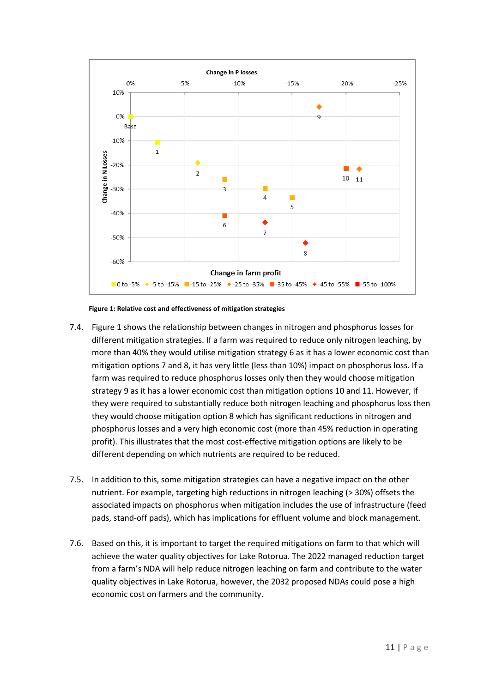

**Figure 1: Relative cost and effectiveness of mitigation strategies**

- 7.4. Figure 1 shows the relationship between changes in nitrogen and phosphorus losses for different mitigation strategies. If a farm was required to reduce only nitrogen leaching, by more than 40% they would utilise mitigation strategy 6 as it has a lower economic cost than mitigation options 7 and 8, it has very little (less than 10%) impact on phosphorus loss. If a farm was required to reduce phosphorus losses only then they would choose mitigation strategy 9 as it has a lower economic cost than mitigation options 10 and 11. However, if they were required to substantially reduce both nitrogen leaching and phosphorus loss then they would choose mitigation option 8 which has significant reductions in nitrogen and phosphorus losses and a very high economic cost (more than 45% reduction in operating profit). This illustrates that the most cost-effective mitigation options are likely to be different depending on which nutrients are required to be reduced.
- 7.5. In addition to this, some mitigation strategies can have a negative impact on the other nutrient. For example, targeting high reductions in nitrogen leaching (> 30%) offsets the associated impacts on phosphorus when mitigation includes the use of infrastructure (feed pads, stand-off pads), which has implications for effluent volume and block management.
- 7.6. Based on this, it is important to target the required mitigations on farm to that which will achieve the water quality objectives for Lake Rotorua. The 2022 managed reduction target from a farm's NDA will help reduce nitrogen leaching on farm and contribute to the water quality objectives in Lake Rotorua, however, the 2032 proposed NDAs could pose a high economic cost on farmers and the community.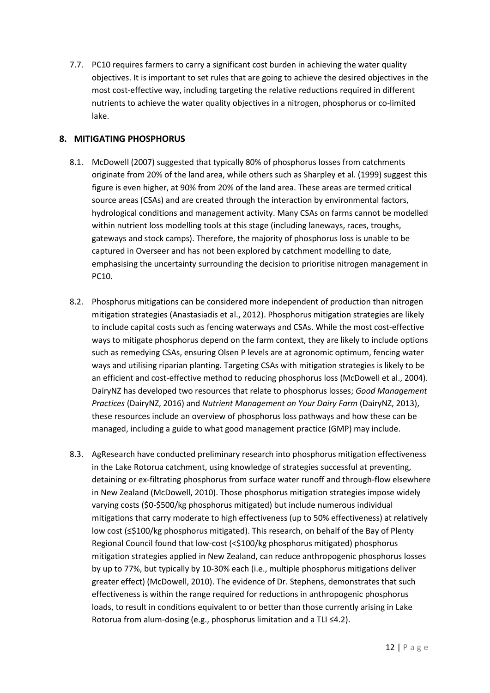7.7. PC10 requires farmers to carry a significant cost burden in achieving the water quality objectives. It is important to set rules that are going to achieve the desired objectives in the most cost-effective way, including targeting the relative reductions required in different nutrients to achieve the water quality objectives in a nitrogen, phosphorus or co-limited lake.

# **8. MITIGATING PHOSPHORUS**

- 8.1. McDowell (2007) suggested that typically 80% of phosphorus losses from catchments originate from 20% of the land area, while others such as Sharpley et al. (1999) suggest this figure is even higher, at 90% from 20% of the land area. These areas are termed critical source areas (CSAs) and are created through the interaction by environmental factors, hydrological conditions and management activity. Many CSAs on farms cannot be modelled within nutrient loss modelling tools at this stage (including laneways, races, troughs, gateways and stock camps). Therefore, the majority of phosphorus loss is unable to be captured in Overseer and has not been explored by catchment modelling to date, emphasising the uncertainty surrounding the decision to prioritise nitrogen management in PC10.
- 8.2. Phosphorus mitigations can be considered more independent of production than nitrogen mitigation strategies (Anastasiadis et al., 2012). Phosphorus mitigation strategies are likely to include capital costs such as fencing waterways and CSAs. While the most cost-effective ways to mitigate phosphorus depend on the farm context, they are likely to include options such as remedying CSAs, ensuring Olsen P levels are at agronomic optimum, fencing water ways and utilising riparian planting. Targeting CSAs with mitigation strategies is likely to be an efficient and cost-effective method to reducing phosphorus loss (McDowell et al., 2004). DairyNZ has developed two resources that relate to phosphorus losses; *Good Management Practices* (DairyNZ, 2016) and *Nutrient Management on Your Dairy Farm* (DairyNZ, 2013), these resources include an overview of phosphorus loss pathways and how these can be managed, including a guide to what good management practice (GMP) may include.
- 8.3. AgResearch have conducted preliminary research into phosphorus mitigation effectiveness in the Lake Rotorua catchment, using knowledge of strategies successful at preventing, detaining or ex-filtrating phosphorus from surface water runoff and through-flow elsewhere in New Zealand (McDowell, 2010). Those phosphorus mitigation strategies impose widely varying costs (\$0-\$500/kg phosphorus mitigated) but include numerous individual mitigations that carry moderate to high effectiveness (up to 50% effectiveness) at relatively low cost (≤\$100/kg phosphorus mitigated). This research, on behalf of the Bay of Plenty Regional Council found that low-cost (<\$100/kg phosphorus mitigated) phosphorus mitigation strategies applied in New Zealand, can reduce anthropogenic phosphorus losses by up to 77%, but typically by 10-30% each (i.e., multiple phosphorus mitigations deliver greater effect) (McDowell, 2010). The evidence of Dr. Stephens, demonstrates that such effectiveness is within the range required for reductions in anthropogenic phosphorus loads, to result in conditions equivalent to or better than those currently arising in Lake Rotorua from alum-dosing (e.g., phosphorus limitation and a TLI ≤4.2).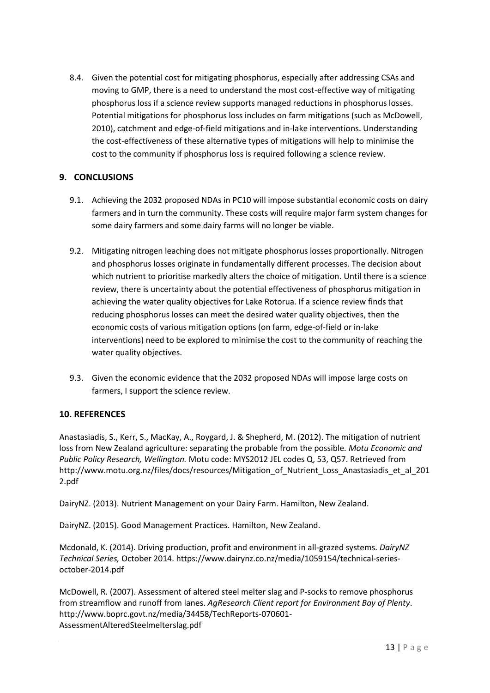8.4. Given the potential cost for mitigating phosphorus, especially after addressing CSAs and moving to GMP, there is a need to understand the most cost-effective way of mitigating phosphorus loss if a science review supports managed reductions in phosphorus losses. Potential mitigations for phosphorus loss includes on farm mitigations (such as McDowell, 2010), catchment and edge-of-field mitigations and in-lake interventions. Understanding the cost-effectiveness of these alternative types of mitigations will help to minimise the cost to the community if phosphorus loss is required following a science review.

# **9. CONCLUSIONS**

- 9.1. Achieving the 2032 proposed NDAs in PC10 will impose substantial economic costs on dairy farmers and in turn the community. These costs will require major farm system changes for some dairy farmers and some dairy farms will no longer be viable.
- 9.2. Mitigating nitrogen leaching does not mitigate phosphorus losses proportionally. Nitrogen and phosphorus losses originate in fundamentally different processes. The decision about which nutrient to prioritise markedly alters the choice of mitigation. Until there is a science review, there is uncertainty about the potential effectiveness of phosphorus mitigation in achieving the water quality objectives for Lake Rotorua. If a science review finds that reducing phosphorus losses can meet the desired water quality objectives, then the economic costs of various mitigation options (on farm, edge-of-field or in-lake interventions) need to be explored to minimise the cost to the community of reaching the water quality objectives.
- 9.3. Given the economic evidence that the 2032 proposed NDAs will impose large costs on farmers, I support the science review.

#### **10. REFERENCES**

Anastasiadis, S., Kerr, S., MacKay, A., Roygard, J. & Shepherd, M. (2012). The mitigation of nutrient loss from New Zealand agriculture: separating the probable from the possible*. Motu Economic and Public Policy Research, Wellington.* Motu code: MYS2012 JEL codes Q, 53, Q57. Retrieved from http://www.motu.org.nz/files/docs/resources/Mitigation of Nutrient Loss Anastasiadis et al 201 2.pdf

DairyNZ. (2013). Nutrient Management on your Dairy Farm. Hamilton, New Zealand.

DairyNZ. (2015). Good Management Practices. Hamilton, New Zealand.

Mcdonald, K. (2014). Driving production, profit and environment in all-grazed systems. *DairyNZ Technical Series,* October 2014. https://www.dairynz.co.nz/media/1059154/technical-seriesoctober-2014.pdf

McDowell, R. (2007). Assessment of altered steel melter slag and P-socks to remove phosphorus from streamflow and runoff from lanes. *AgResearch Client report for Environment Bay of Plenty*. http://www.boprc.govt.nz/media/34458/TechReports-070601- AssessmentAlteredSteelmelterslag.pdf